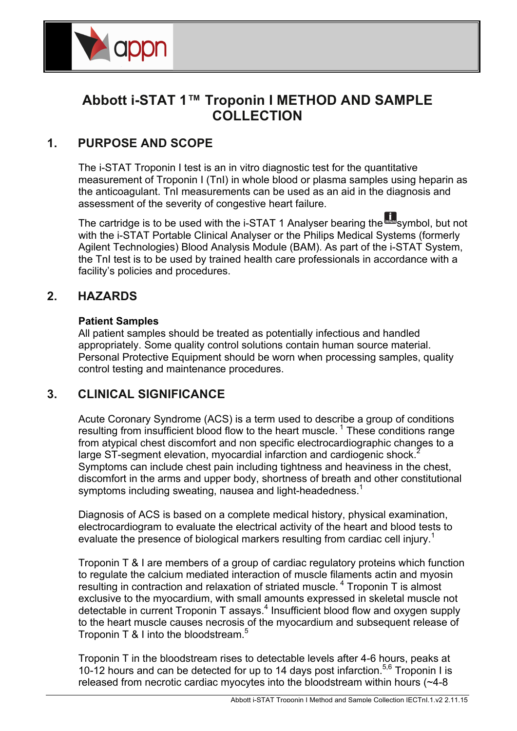

# **Abbott i-STAT 1™ Troponin I METHOD AND SAMPLE** COLLECTION

## **1. PURPOSE AND SCOPE**

The i-STAT Troponin I test is an in vitro diagnostic test for the quantitative measurement of Troponin I (TnI) in whole blood or plasma samples using heparin as the anticoagulant. TnI measurements can be used as an aid in the diagnosis and assessment of the severity of congestive heart failure.

The cartridge is to be used with the i-STAT 1 Analyser bearing the **with** symbol, but not with the i-STAT Portable Clinical Analyser or the Philips Medical Systems (formerly Agilent Technologies) Blood Analysis Module (BAM). As part of the i-STAT System, the TnI test is to be used by trained health care professionals in accordance with a facility's policies and procedures.

#### **2. HAZARDS** The i-STAT BNP test carterial enzyme-linked immunosorbant assay (ELISA) method. In the interval assay (ELISA) method. In the interval assay (ELISA) method. In the interval assay (ELISA) method. In the interval assay (ELISA

#### **Patient Samples** deposited in another location on the sensor silicon chip is an antibody/alkaline phosphatase enzyme

All patient samples should be treated as potentially infectious and handled appropriately. Some quality control solutions contain human source material. Personal Protective Equipment should be worn when processing samples, quality electron test recentron approximately sensor and incubation proceduring complete, quality control testing and maintenance procedures. toothing and maintenance procedured.

#### **3. CLINICAL SIGNIFICANCE release products** product products and electrochemical (amperometric) sensor measures phosphatase enzyme. The enzyme bound to the antibody/antibody/antibody/antibody sandwich cleaves the substrate the substrate the substrate the substrate the substrate the substrate the substrate the substrate the substrat

Acute Coronary Syndrome (ACS) is a term used to describe a group of conditions resulting from insufficient blood flow to the heart muscle.<sup>1</sup> These conditions range From atypical chest discomfort and non specific electrocardiographic changes to a nom atypical enset also more and non-operator creational along applies changes to detect the BI and the BNP as detection, myocardial infarction and cardiogenic shock.<sup>2</sup> ange of segment elevation, infocardial initiation and cardiogenic shock.<br>Symptoms can include chest pain including tightness and heaviness in the chest, discomfort in the arms and upper body, shortness of breath and other constitutional symptoms including sweating, nausea and light-headedness.<sup>1</sup> of reactive indicated below indicated below.

Diagnosis of ACS is based on a complete medical history, physical examination, Biaghoold of Alge to back on a complete modical motory, physical chammaterity<br>electrocardiogram to evaluate the electrical activity of the heart and blood tests to evaluate the presence of biological markers resulting from cardiac cell injury.<sup>1</sup>

Troponin T & I are members of a group of cardiac regulatory proteins which function Inoponii Process of a group of cardiac regulatory proteins which rance<br>to regulate the calcium mediated interaction of muscle filaments actin and myosin resulting in contraction and relaxation of striated muscle.<sup>4</sup> Troponin T is almost exclusive to the myocardium, with small amounts expressed in skeletal muscle not detectable in current Troponin T assays.<sup>4</sup> Insufficient blood flow and oxygen supply to the heart muscle causes necrosis of the myocardium and subsequent release of Troponin T & I into the bloodstream.<sup>5</sup>

Troponin T in the bloodstream rises to detectable levels after 4-6 hours, peaks at 10-12 hours and can be detected for up to 14 days post infarction.<sup>5,6</sup> Troponin I is released from necrotic cardiac myocytes into the bloodstream within hours (~4-8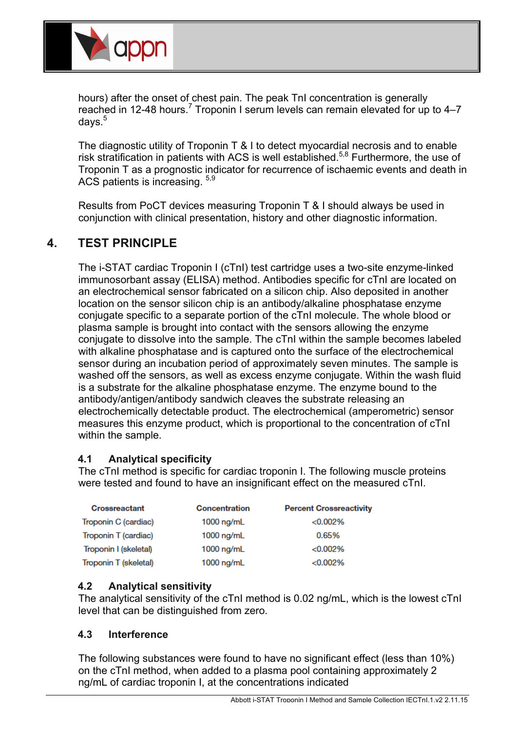

hours) after the onset of chest pain. The peak TnI concentration is generally reached in 12-48 hours.<sup>7</sup> Troponin I serum levels can remain elevated for up to 4–7 days.<sup>5</sup>

The diagnostic utility of Troponin T & I to detect myocardial necrosis and to enable risk stratification in patients with ACS is well established.5,8 Furthermore, the use of Troponin T as a prognostic indicator for recurrence of ischaemic events and death in ACS patients is increasing. 5,9

Results from PoCT devices measuring Troponin T & I should always be used in conjunction with clinical presentation, history and other diagnostic information.

## **4. TEST PRINCIPLE**

The i-STAT cardiac Troponin I (cTnI) test cartridge uses a two-site enzyme-linked immunosorbant assay (ELISA) method. Antibodies specific for cTnI are located on an electrochemical sensor fabricated on a silicon chip. Also deposited in another location on the sensor silicon chip is an antibody/alkaline phosphatase enzyme conjugate specific to a separate portion of the cTnI molecule. The whole blood or plasma sample is brought into contact with the sensors allowing the enzyme conjugate to dissolve into the sample. The cTnI within the sample becomes labeled with alkaline phosphatase and is captured onto the surface of the electrochemical sensor during an incubation period of approximately seven minutes. The sample is washed off the sensors, as well as excess enzyme conjugate. Within the wash fluid is a substrate for the alkaline phosphatase enzyme. The enzyme bound to the antibody/antigen/antibody sandwich cleaves the substrate releasing an electrochemically detectable product. The electrochemical (amperometric) sensor measures this enzyme product, which is proportional to the concentration of cTnI within the sample.

## **4.1 Analytical specificity**

The cTnI method is specific for cardiac troponin I. The following muscle proteins were tested and found to have an insignificant effect on the measured cTnI.

| <b>Crossreactant</b>  | Concentration | <b>Percent Crossreactivity</b> |
|-----------------------|---------------|--------------------------------|
| Troponin C (cardiac)  | $1000$ ng/mL  | < 0.002%                       |
| Troponin T (cardiac)  | $1000$ ng/mL  | 0.65%                          |
| Troponin I (skeletal) | $1000$ ng/mL  | < 0.002%                       |
| Troponin T (skeletal) | $1000$ ng/mL  | < 0.002%                       |

## **4.2 Analytical sensitivity**

The analytical sensitivity of the cTnI method is 0.02 ng/mL, which is the lowest cTnI level that can be distinguished from zero.

## **4.3 Interference**

The following substances were found to have no significant effect (less than 10%) on the cTnI method, when added to a plasma pool containing approximately 2 ng/mL of cardiac troponin I, at the concentrations indicated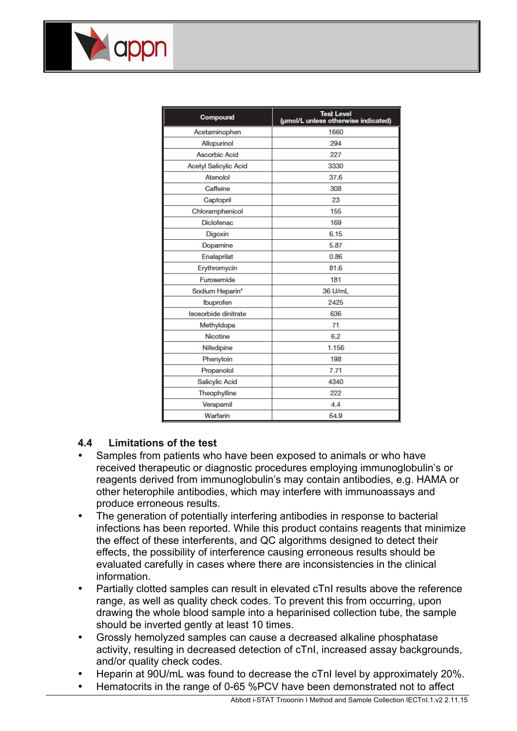| <b>Compound</b>              | <b>Test Level</b><br>(umol/L unless otherwise indicated) |
|------------------------------|----------------------------------------------------------|
| Acetaminophen                | 1660                                                     |
| Allopurinol                  | 294                                                      |
| <b>Ascorbic Acid</b>         | 227                                                      |
| <b>Acetyl Salicylic Acid</b> | 3330                                                     |
| Atenolol                     | 37.6                                                     |
| Caffeine                     | 308                                                      |
| Captopril                    | 23                                                       |
| Chloramphenicol              | 155                                                      |
| <b>Diclofenac</b>            | 169                                                      |
| Digoxin                      | 6.15                                                     |
| Dopamine                     | 5.87                                                     |
| Enalaprilat                  | 0.86                                                     |
| Erythromycin                 | 81.6                                                     |
| Furosemide                   | 181                                                      |
| Sodium Heparin*              | 36 U/mL                                                  |
| Ibuprofen                    | 2425                                                     |
| Isosorbide dinitrate         | 636                                                      |
| Methyldopa                   | 71                                                       |
| <b>Nicotine</b>              | 6.2                                                      |
| Nifedipine                   | 1.156                                                    |
| Phenytoin                    | 198                                                      |
| Propanolol                   | 7.71                                                     |
| <b>Salicylic Acid</b>        | 4340                                                     |
| Theophylline                 | 222                                                      |
| Verapamil                    | 4.4                                                      |
| Warfarin                     | 64.9                                                     |

#### **4.4 Limitations of the test**

appn

- Samples from patients who have been exposed to animals or who have received therapeutic or diagnostic procedures employing immunoglobulin's or reagents derived from immunoglobulin's may contain antibodies, e.g. HAMA or other heterophile antibodies, which may interfere with immunoassays and produce erroneous results.
- The generation of potentially interfering antibodies in response to bacterial infections has been reported. While this product contains reagents that minimize the effect of these interferents, and QC algorithms designed to detect their effects, the possibility of interference causing erroneous results should be evaluated carefully in cases where there are inconsistencies in the clinical information.
- Partially clotted samples can result in elevated cTnI results above the reference range, as well as quality check codes. To prevent this from occurring, upon drawing the whole blood sample into a heparinised collection tube, the sample should be inverted gently at least 10 times.
- Grossly hemolyzed samples can cause a decreased alkaline phosphatase activity, resulting in decreased detection of cTnI, increased assay backgrounds, and/or quality check codes.
- Heparin at 90U/mL was found to decrease the cTnI level by approximately 20%.
- Hematocrits in the range of 0-65 %PCV have been demonstrated not to affect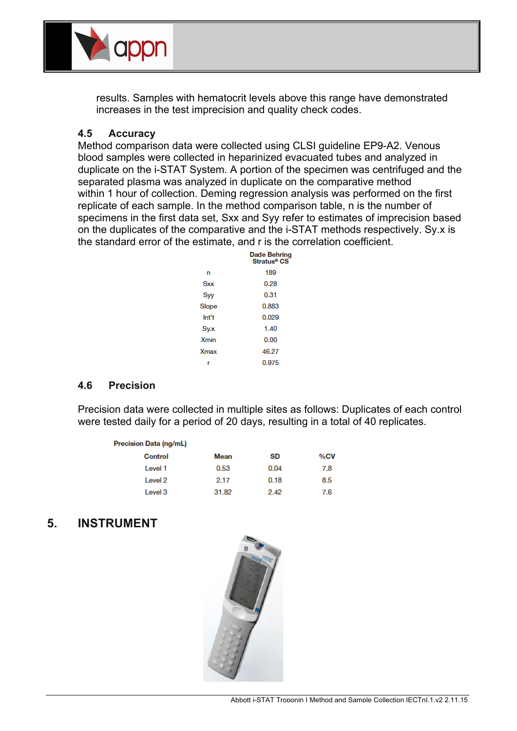

results. Samples with hematocrit levels above this range have demonstrated increases in the test imprecision and quality check codes.

#### **4.5 Accuracy**

Method comparison data were collected using CLSI guideline EP9-A2. Venous blood samples were collected in heparinized evacuated tubes and analyzed in duplicate on the i-STAT System. A portion of the specimen was centrifuged and the separated plasma was analyzed in duplicate on the comparative method within 1 hour of collection. Deming regression analysis was performed on the first replicate of each sample. In the method comparison table, n is the number of specimens in the first data set, Sxx and Syy refer to estimates of imprecision based on the duplicates of the comparative and the i-STAT methods respectively. Sy.x is the standard error of the estimate, and r is the correlation coefficient.

|             | <b>Dade Behring</b><br>Stratus <sup>®</sup> CS |
|-------------|------------------------------------------------|
| n           | 189                                            |
| <b>Sxx</b>  | 0.28                                           |
| Syy         | 0.31                                           |
| Slope       | 0.883                                          |
| Int't       | 0.029                                          |
| Sy.x        | 1.40                                           |
| <b>Xmin</b> | 0.00                                           |
| Xmax        | 46.27                                          |
|             | 0.975                                          |

#### **4.6 Precision**

Precision data were collected in multiple sites as follows: Duplicates of each control were tested daily for a period of 20 days, resulting in a total of 40 replicates.

| <b>Precision Data (ng/mL)</b> |       |      |     |
|-------------------------------|-------|------|-----|
| Control                       | Mean  | SD   | %CV |
| Level 1                       | 0.53  | 0.04 | 7.8 |
| Level 2                       | 2.17  | 0.18 | 8.5 |
| Level 3                       | 31.82 | 2.42 | 7.6 |

## **5. INSTRUMENT**

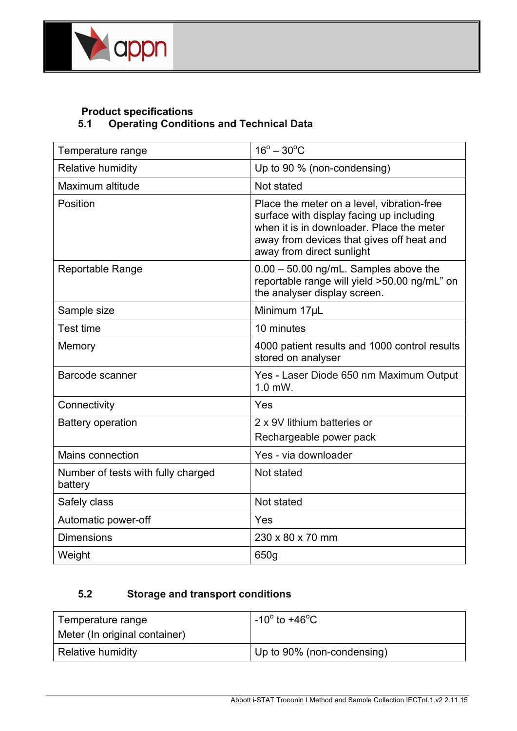

## **Product specifications 5.1 Operating Conditions and Technical Data**

| Temperature range                             | $16^{\circ} - 30^{\circ}$ C                                                                                                                                                                                   |
|-----------------------------------------------|---------------------------------------------------------------------------------------------------------------------------------------------------------------------------------------------------------------|
| Relative humidity                             | Up to 90 % (non-condensing)                                                                                                                                                                                   |
| Maximum altitude                              | Not stated                                                                                                                                                                                                    |
| Position                                      | Place the meter on a level, vibration-free<br>surface with display facing up including<br>when it is in downloader. Place the meter<br>away from devices that gives off heat and<br>away from direct sunlight |
| <b>Reportable Range</b>                       | $0.00 - 50.00$ ng/mL. Samples above the<br>reportable range will yield >50.00 ng/mL" on<br>the analyser display screen.                                                                                       |
| Sample size                                   | Minimum 17µL                                                                                                                                                                                                  |
| <b>Test time</b>                              | 10 minutes                                                                                                                                                                                                    |
| Memory                                        | 4000 patient results and 1000 control results<br>stored on analyser                                                                                                                                           |
| Barcode scanner                               | Yes - Laser Diode 650 nm Maximum Output<br>$1.0$ mW.                                                                                                                                                          |
| Connectivity                                  | Yes                                                                                                                                                                                                           |
| <b>Battery operation</b>                      | 2 x 9V lithium batteries or<br>Rechargeable power pack                                                                                                                                                        |
| Mains connection                              | Yes - via downloader                                                                                                                                                                                          |
| Number of tests with fully charged<br>battery | Not stated                                                                                                                                                                                                    |
| Safely class                                  | Not stated                                                                                                                                                                                                    |
| Automatic power-off                           | Yes                                                                                                                                                                                                           |
| <b>Dimensions</b>                             | 230 x 80 x 70 mm                                                                                                                                                                                              |
| Weight                                        | 650g                                                                                                                                                                                                          |

## **5.2 Storage and transport conditions**

| Temperature range             | $-10^{\circ}$ to +46 <sup>o</sup> C |
|-------------------------------|-------------------------------------|
| Meter (In original container) |                                     |
| Relative humidity             | Up to 90% (non-condensing)          |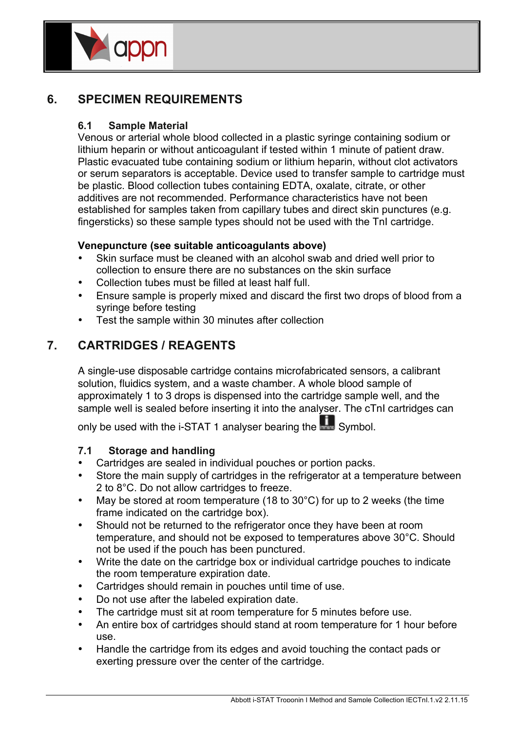

## **6. SPECIMEN REQUIREMENTS**

## **6.1 Sample Material**

Venous or arterial whole blood collected in a plastic syringe containing sodium or lithium heparin or without anticoagulant if tested within 1 minute of patient draw. Plastic evacuated tube containing sodium or lithium heparin, without clot activators or serum separators is acceptable. Device used to transfer sample to cartridge must be plastic. Blood collection tubes containing EDTA, oxalate, citrate, or other additives are not recommended. Performance characteristics have not been established for samples taken from capillary tubes and direct skin punctures (e.g. fingersticks) so these sample types should not be used with the TnI cartridge.

## **Venepuncture (see suitable anticoagulants above)**

- Skin surface must be cleaned with an alcohol swab and dried well prior to collection to ensure there are no substances on the skin surface
- Collection tubes must be filled at least half full.
- Ensure sample is properly mixed and discard the first two drops of blood from a syringe before testing
- Test the sample within 30 minutes after collection

## **7. CARTRIDGES / REAGENTS**

A single-use disposable cartridge contains microfabricated sensors, a calibrant solution, fluidics system, and a waste chamber. A whole blood sample of approximately 1 to 3 drops is dispensed into the cartridge sample well, and the sample well is sealed before inserting it into the analyser. The cTnI cartridges can

only be used with the i-STAT 1 analyser bearing the **Fig.** Symbol.

## **7.1 Storage and handling**

- Cartridges are sealed in individual pouches or portion packs.
- Store the main supply of cartridges in the refrigerator at a temperature between 2 to 8°C. Do not allow cartridges to freeze.
- May be stored at room temperature (18 to 30°C) for up to 2 weeks (the time frame indicated on the cartridge box).
- Should not be returned to the refrigerator once they have been at room temperature, and should not be exposed to temperatures above 30°C. Should not be used if the pouch has been punctured.
- Write the date on the cartridge box or individual cartridge pouches to indicate the room temperature expiration date.
- Cartridges should remain in pouches until time of use.
- Do not use after the labeled expiration date.
- The cartridge must sit at room temperature for 5 minutes before use.
- An entire box of cartridges should stand at room temperature for 1 hour before use.
- Handle the cartridge from its edges and avoid touching the contact pads or exerting pressure over the center of the cartridge.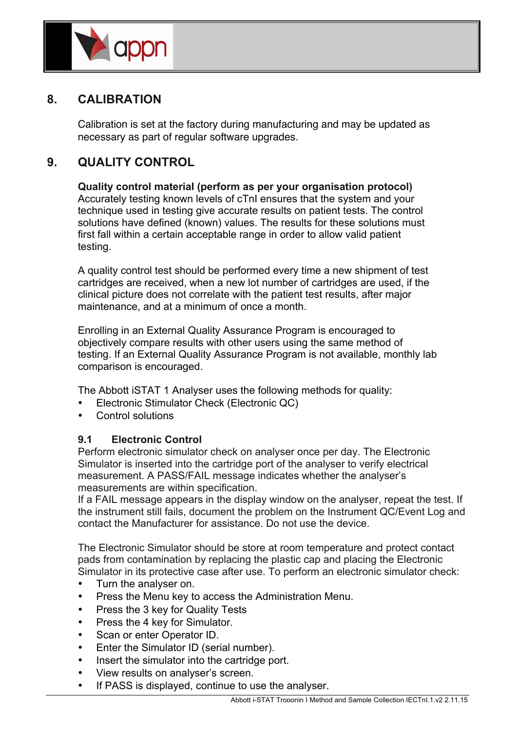

## **8. CALIBRATION**

Calibration is set at the factory during manufacturing and may be updated as necessary as part of regular software upgrades.

## **9. QUALITY CONTROL**

**Quality control material (perform as per your organisation protocol)** Accurately testing known levels of cTnI ensures that the system and your technique used in testing give accurate results on patient tests. The control solutions have defined (known) values. The results for these solutions must first fall within a certain acceptable range in order to allow valid patient testing.

A quality control test should be performed every time a new shipment of test cartridges are received, when a new lot number of cartridges are used, if the clinical picture does not correlate with the patient test results, after major maintenance, and at a minimum of once a month.

Enrolling in an External Quality Assurance Program is encouraged to objectively compare results with other users using the same method of testing. If an External Quality Assurance Program is not available, monthly lab comparison is encouraged.

The Abbott iSTAT 1 Analyser uses the following methods for quality:

- Electronic Stimulator Check (Electronic QC)
- Control solutions

## **9.1 Electronic Control**

Perform electronic simulator check on analyser once per day. The Electronic Simulator is inserted into the cartridge port of the analyser to verify electrical measurement. A PASS/FAIL message indicates whether the analyser's measurements are within specification.

If a FAIL message appears in the display window on the analyser, repeat the test. If the instrument still fails, document the problem on the Instrument QC/Event Log and contact the Manufacturer for assistance. Do not use the device.

The Electronic Simulator should be store at room temperature and protect contact pads from contamination by replacing the plastic cap and placing the Electronic Simulator in its protective case after use. To perform an electronic simulator check:

- Turn the analyser on.
- Press the Menu key to access the Administration Menu.
- Press the 3 key for Quality Tests
- Press the 4 key for Simulator.
- Scan or enter Operator ID.
- Enter the Simulator ID (serial number).
- Insert the simulator into the cartridge port.
- View results on analyser's screen.
- If PASS is displayed, continue to use the analyser.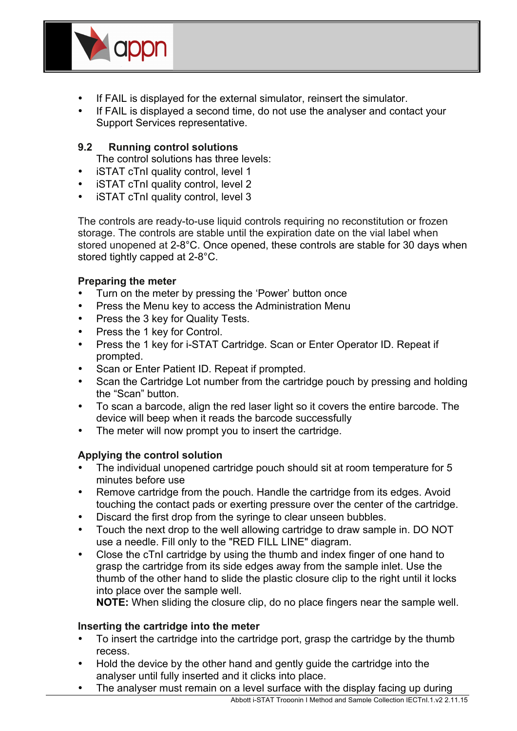

- If FAIL is displayed for the external simulator, reinsert the simulator.
- If FAIL is displayed a second time, do not use the analyser and contact your Support Services representative.

## **9.2 Running control solutions**

The control solutions has three levels:

- **iSTAT cTnI quality control, level 1**
- iSTAT cTnI quality control, level 2
- iSTAT cTnI quality control, level 3

The controls are ready-to-use liquid controls requiring no reconstitution or frozen storage. The controls are stable until the expiration date on the vial label when stored unopened at 2-8°C. Once opened, these controls are stable for 30 days when stored tightly capped at 2-8°C.

## **Preparing the meter**

- Turn on the meter by pressing the 'Power' button once
- Press the Menu key to access the Administration Menu
- Press the 3 key for Quality Tests.
- Press the 1 key for Control.
- Press the 1 key for i-STAT Cartridge. Scan or Enter Operator ID. Repeat if prompted.
- Scan or Enter Patient ID. Repeat if prompted.
- Scan the Cartridge Lot number from the cartridge pouch by pressing and holding the "Scan" button.
- To scan a barcode, align the red laser light so it covers the entire barcode. The device will beep when it reads the barcode successfully
- The meter will now prompt you to insert the cartridge.

## **Applying the control solution**

- The individual unopened cartridge pouch should sit at room temperature for 5 minutes before use
- Remove cartridge from the pouch. Handle the cartridge from its edges. Avoid touching the contact pads or exerting pressure over the center of the cartridge.
- Discard the first drop from the syringe to clear unseen bubbles.
- Touch the next drop to the well allowing cartridge to draw sample in. DO NOT use a needle. Fill only to the "RED FILL LINE" diagram.
- Close the cTnI cartridge by using the thumb and index finger of one hand to grasp the cartridge from its side edges away from the sample inlet. Use the thumb of the other hand to slide the plastic closure clip to the right until it locks into place over the sample well.

**NOTE:** When sliding the closure clip, do no place fingers near the sample well.

## **Inserting the cartridge into the meter**

- To insert the cartridge into the cartridge port, grasp the cartridge by the thumb recess.
- Hold the device by the other hand and gently guide the cartridge into the analyser until fully inserted and it clicks into place.
- The analyser must remain on a level surface with the display facing up during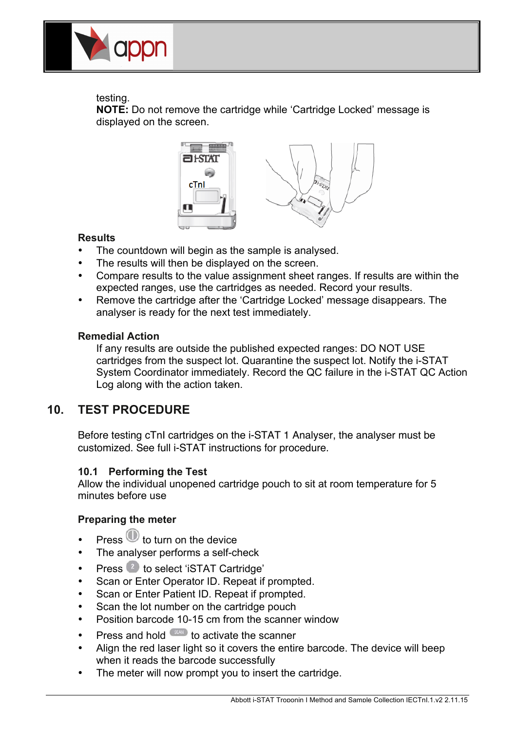

## testing.

**NOTE:** Do not remove the cartridge while 'Cartridge Locked' message is displayed on the screen.



## **Results**

- The countdown will begin as the sample is analysed.
- The results will then be displayed on the screen.
- Compare results to the value assignment sheet ranges. If results are within the expected ranges, use the cartridges as needed. Record your results.
- Remove the cartridge after the 'Cartridge Locked' message disappears. The analyser is ready for the next test immediately.

## **Remedial Action**

If any results are outside the published expected ranges: DO NOT USE cartridges from the suspect lot. Quarantine the suspect lot. Notify the i-STAT System Coordinator immediately. Record the QC failure in the i-STAT QC Action **Processes** Continued in the action taken. **PROFILE MANUAL FOR THE INC.** 

#### **10. TEST PROCEDURE Procedure for Cartridge Testing Procedure for Cartridge Testing**

Before testing cTnI cartridges on the i-STAT 1 Analyser, the analyser must be customized. See full i-STAT instructions for procedure.

## **10.1 Performing the Test**

Allow the individual unopened cartridge pouch to sit at room temperature for 5 minutes before use

## **Preparing the meter**

- Press  $\bigcirc$  to turn on the device
- The analyser performs a self-check
- Press **the select 'iSTAT Cartridge'**
- Scan or Enter Operator ID. Repeat if prompted.
- Scan or Enter Patient ID. Repeat if prompted.
- Scan the lot number on the cartridge pouch
- Position barcode 10-15 cm from the scanner window
- Press and hold  $\frac{\sin \theta}{\cos \theta}$  to activate the scanner
- Align the red laser light so it covers the entire barcode. The device will beep when it reads the barcode successfully
- The meter will now prompt you to insert the cartridge.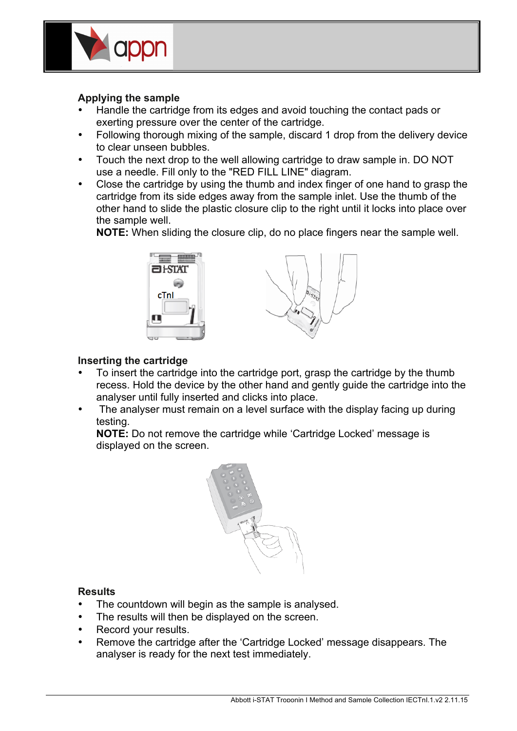

#### **Applying the sample**

- Handle the cartridge from its edges and avoid touching the contact pads or exerting pressure over the center of the cartridge.
- Following thorough mixing of the sample, discard 1 drop from the delivery device to clear unseen bubbles.
- Touch the next drop to the well allowing cartridge to draw sample in. DO NOT use a needle. Fill only to the "RED FILL LINE" diagram.
- Close the cartridge by using the thumb and index finger of one hand to grasp the cartridge from its side edges away from the sample inlet. Use the thumb of the other hand to slide the plastic closure clip to the right until it locks into place over the sample well.

**NOTE:** When sliding the closure clip, do no place fingers near the sample well.



## **Inserting the cartridge**

- To insert the cartridge into the cartridge port, grasp the cartridge by the thumb recess. Hold the device by the other hand and gently guide the cartridge into the analyser until fully inserted and clicks into place.
- The analyser must remain on a level surface with the display facing up during testing.

**NOTE:** Do not remove the cartridge while 'Cartridge Locked' message is displayed on the screen.



#### **Results**

- The countdown will begin as the sample is analysed.
- The results will then be displayed on the screen.
- Record your results.
- Remove the cartridge after the 'Cartridge Locked' message disappears. The analyser is ready for the next test immediately.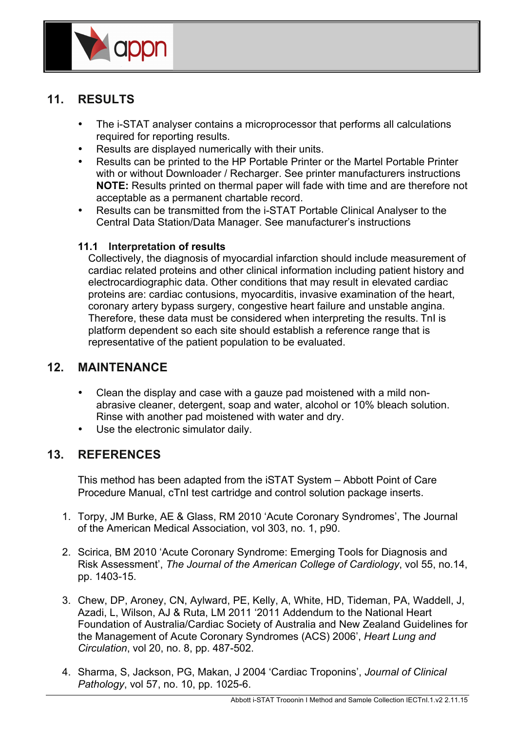

## **11. RESULTS**

- The i-STAT analyser contains a microprocessor that performs all calculations required for reporting results.
- Results are displayed numerically with their units.
- Results can be printed to the HP Portable Printer or the Martel Portable Printer with or without Downloader / Recharger. See printer manufacturers instructions **NOTE:** Results printed on thermal paper will fade with time and are therefore not acceptable as a permanent chartable record.
- Results can be transmitted from the i-STAT Portable Clinical Analyser to the Central Data Station/Data Manager. See manufacturer's instructions

## **11.1 Interpretation of results**

Collectively, the diagnosis of myocardial infarction should include measurement of cardiac related proteins and other clinical information including patient history and electrocardiographic data. Other conditions that may result in elevated cardiac proteins are: cardiac contusions, myocarditis, invasive examination of the heart, coronary artery bypass surgery, congestive heart failure and unstable angina. Therefore, these data must be considered when interpreting the results. TnI is platform dependent so each site should establish a reference range that is representative of the patient population to be evaluated.

## **12. MAINTENANCE**

- Clean the display and case with a gauze pad moistened with a mild nonabrasive cleaner, detergent, soap and water, alcohol or 10% bleach solution. Rinse with another pad moistened with water and dry.
- Use the electronic simulator daily.

## **13. REFERENCES**

This method has been adapted from the iSTAT System – Abbott Point of Care Procedure Manual, cTnI test cartridge and control solution package inserts.

- 1. Torpy, JM Burke, AE & Glass, RM 2010 'Acute Coronary Syndromes', The Journal of the American Medical Association, vol 303, no. 1, p90.
- 2. Scirica, BM 2010 'Acute Coronary Syndrome: Emerging Tools for Diagnosis and Risk Assessment', *The Journal of the American College of Cardiology*, vol 55, no.14, pp. 1403-15.
- 3. Chew, DP, Aroney, CN, Aylward, PE, Kelly, A, White, HD, Tideman, PA, Waddell, J, Azadi, L, Wilson, AJ & Ruta, LM 2011 '2011 Addendum to the National Heart Foundation of Australia/Cardiac Society of Australia and New Zealand Guidelines for the Management of Acute Coronary Syndromes (ACS) 2006', *Heart Lung and Circulation*, vol 20, no. 8, pp. 487-502.
- 4. Sharma, S, Jackson, PG, Makan, J 2004 'Cardiac Troponins', *Journal of Clinical Pathology*, vol 57, no. 10, pp. 1025-6.